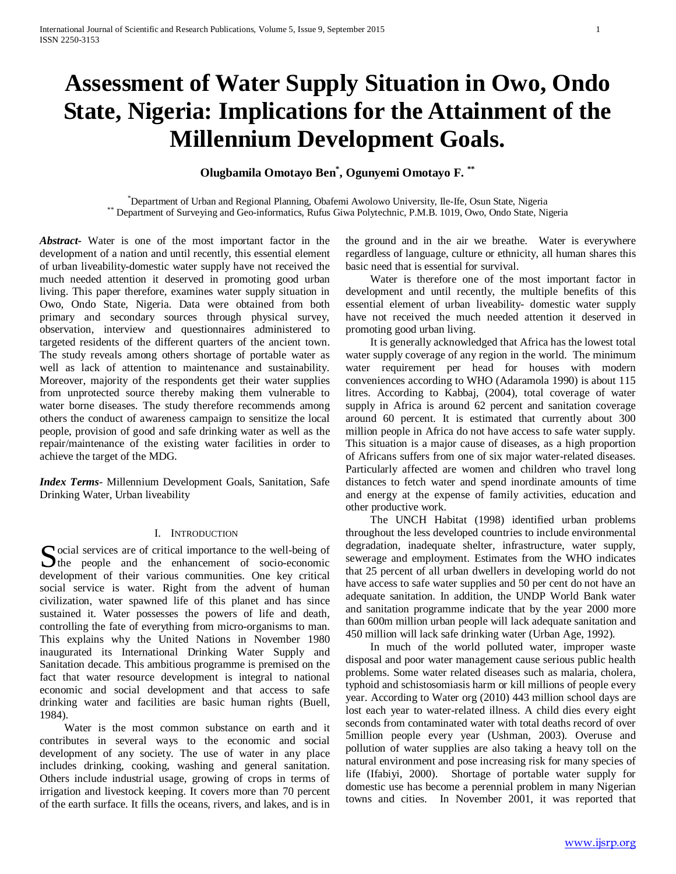# **Assessment of Water Supply Situation in Owo, Ondo State, Nigeria: Implications for the Attainment of the Millennium Development Goals.**

# **Olugbamila Omotayo Ben\* , Ogunyemi Omotayo F. \*\***

\*Department of Urban and Regional Planning, Obafemi Awolowo University, Ile-Ife, Osun State, Nigeria \*\* Department of Surveying and Geo-informatics, Rufus Giwa Polytechnic, P.M.B. 1019, Owo, Ondo State, Nigeria

*Abstract***-** Water is one of the most important factor in the development of a nation and until recently, this essential element of urban liveability-domestic water supply have not received the much needed attention it deserved in promoting good urban living. This paper therefore, examines water supply situation in Owo, Ondo State, Nigeria. Data were obtained from both primary and secondary sources through physical survey, observation, interview and questionnaires administered to targeted residents of the different quarters of the ancient town. The study reveals among others shortage of portable water as well as lack of attention to maintenance and sustainability. Moreover, majority of the respondents get their water supplies from unprotected source thereby making them vulnerable to water borne diseases. The study therefore recommends among others the conduct of awareness campaign to sensitize the local people, provision of good and safe drinking water as well as the repair/maintenance of the existing water facilities in order to achieve the target of the MDG.

*Index Terms*- Millennium Development Goals, Sanitation, Safe Drinking Water, Urban liveability

# I. INTRODUCTION

Social services are of critical importance to the well-being of<br>the people and the enhancement of socio-economic<br>densities  $\sum$  the people and the enhancement of socio-economic development of their various communities. One key critical social service is water. Right from the advent of human civilization, water spawned life of this planet and has since sustained it. Water possesses the powers of life and death, controlling the fate of everything from micro-organisms to man. This explains why the United Nations in November 1980 inaugurated its International Drinking Water Supply and Sanitation decade. This ambitious programme is premised on the fact that water resource development is integral to national economic and social development and that access to safe drinking water and facilities are basic human rights (Buell, 1984).

 Water is the most common substance on earth and it contributes in several ways to the economic and social development of any society. The use of water in any place includes drinking, cooking, washing and general sanitation. Others include industrial usage, growing of crops in terms of irrigation and livestock keeping. It covers more than 70 percent of the earth surface. It fills the oceans, rivers, and lakes, and is in the ground and in the air we breathe. Water is everywhere regardless of language, culture or ethnicity, all human shares this basic need that is essential for survival.

 Water is therefore one of the most important factor in development and until recently, the multiple benefits of this essential element of urban liveability- domestic water supply have not received the much needed attention it deserved in promoting good urban living.

 It is generally acknowledged that Africa has the lowest total water supply coverage of any region in the world. The minimum water requirement per head for houses with modern conveniences according to WHO (Adaramola 1990) is about 115 litres. According to Kabbaj, (2004), total coverage of water supply in Africa is around 62 percent and sanitation coverage around 60 percent. It is estimated that currently about 300 million people in Africa do not have access to safe water supply. This situation is a major cause of diseases, as a high proportion of Africans suffers from one of six major water-related diseases. Particularly affected are women and children who travel long distances to fetch water and spend inordinate amounts of time and energy at the expense of family activities, education and other productive work.

 The UNCH Habitat (1998) identified urban problems throughout the less developed countries to include environmental degradation, inadequate shelter, infrastructure, water supply, sewerage and employment. Estimates from the WHO indicates that 25 percent of all urban dwellers in developing world do not have access to safe water supplies and 50 per cent do not have an adequate sanitation. In addition, the UNDP World Bank water and sanitation programme indicate that by the year 2000 more than 600m million urban people will lack adequate sanitation and 450 million will lack safe drinking water (Urban Age, 1992).

 In much of the world polluted water, improper waste disposal and poor water management cause serious public health problems. Some water related diseases such as malaria, cholera, typhoid and schistosomiasis harm or kill millions of people every year. According to Water org (2010) 443 million school days are lost each year to water-related illness. A child dies every eight seconds from contaminated water with total deaths record of over 5million people every year (Ushman, 2003). Overuse and pollution of water supplies are also taking a heavy toll on the natural environment and pose increasing risk for many species of life (Ifabiyi, 2000). Shortage of portable water supply for domestic use has become a perennial problem in many Nigerian towns and cities. In November 2001, it was reported that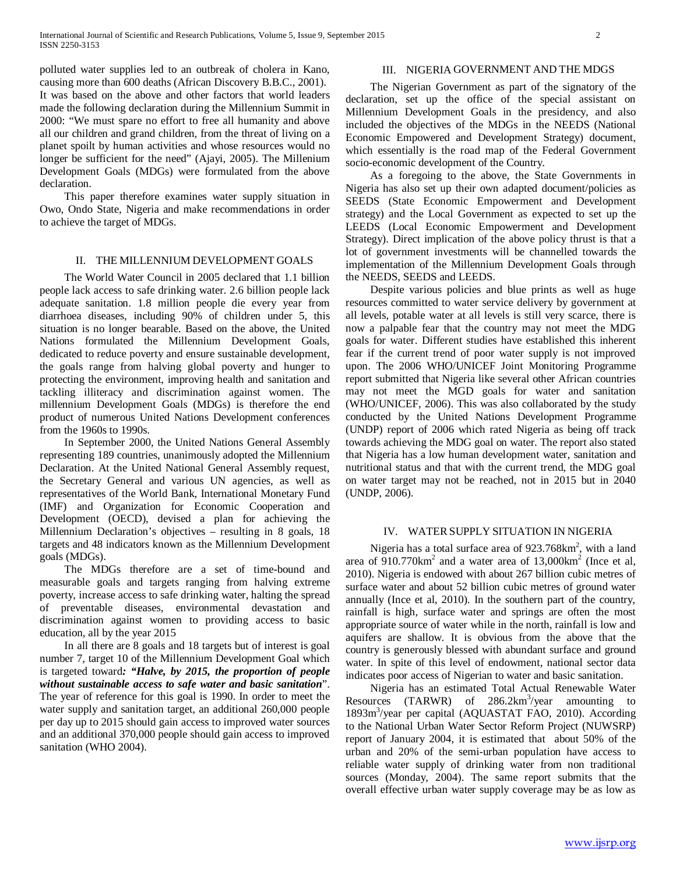polluted water supplies led to an outbreak of cholera in Kano, causing more than 600 deaths (African Discovery B.B.C., 2001). It was based on the above and other factors that world leaders made the following declaration during the Millennium Summit in 2000: "We must spare no effort to free all humanity and above all our children and grand children, from the threat of living on a planet spoilt by human activities and whose resources would no longer be sufficient for the need" (Ajayi, 2005). The Millenium Development Goals (MDGs) were formulated from the above declaration.

 This paper therefore examines water supply situation in Owo, Ondo State, Nigeria and make recommendations in order to achieve the target of MDGs.

#### II. THE MILLENNIUM DEVELOPMENT GOALS

 The World Water Council in 2005 declared that 1.1 billion people lack access to safe drinking water. 2.6 billion people lack adequate sanitation. 1.8 million people die every year from diarrhoea diseases, including 90% of children under 5, this situation is no longer bearable. Based on the above, the United Nations formulated the Millennium Development Goals, dedicated to reduce poverty and ensure sustainable development, the goals range from halving global poverty and hunger to protecting the environment, improving health and sanitation and tackling illiteracy and discrimination against women. The millennium Development Goals (MDGs) is therefore the end product of numerous United Nations Development conferences from the 1960s to 1990s.

 In September 2000, the United Nations General Assembly representing 189 countries, unanimously adopted the Millennium Declaration. At the United National General Assembly request, the Secretary General and various UN agencies, as well as representatives of the World Bank, International Monetary Fund (IMF) and Organization for Economic Cooperation and Development (OECD), devised a plan for achieving the Millennium Declaration's objectives – resulting in 8 goals, 18 targets and 48 indicators known as the Millennium Development goals (MDGs).

 The MDGs therefore are a set of time-bound and measurable goals and targets ranging from halving extreme poverty, increase access to safe drinking water, halting the spread of preventable diseases, environmental devastation and discrimination against women to providing access to basic education, all by the year 2015

 In all there are 8 goals and 18 targets but of interest is goal number 7, target 10 of the Millennium Development Goal which is targeted toward*: "Halve, by 2015, the proportion of people without sustainable access to safe water and basic sanitation*". The year of reference for this goal is 1990. In order to meet the water supply and sanitation target, an additional 260,000 people per day up to 2015 should gain access to improved water sources and an additional 370,000 people should gain access to improved sanitation (WHO 2004).

# III. NIGERIA GOVERNMENT AND THE MDGS

 The Nigerian Government as part of the signatory of the declaration, set up the office of the special assistant on Millennium Development Goals in the presidency, and also included the objectives of the MDGs in the NEEDS (National Economic Empowered and Development Strategy) document, which essentially is the road map of the Federal Government socio-economic development of the Country.

 As a foregoing to the above, the State Governments in Nigeria has also set up their own adapted document/policies as SEEDS (State Economic Empowerment and Development strategy) and the Local Government as expected to set up the LEEDS (Local Economic Empowerment and Development Strategy). Direct implication of the above policy thrust is that a lot of government investments will be channelled towards the implementation of the Millennium Development Goals through the NEEDS, SEEDS and LEEDS.

 Despite various policies and blue prints as well as huge resources committed to water service delivery by government at all levels, potable water at all levels is still very scarce, there is now a palpable fear that the country may not meet the MDG goals for water. Different studies have established this inherent fear if the current trend of poor water supply is not improved upon. The 2006 WHO/UNICEF Joint Monitoring Programme report submitted that Nigeria like several other African countries may not meet the MGD goals for water and sanitation (WHO/UNICEF, 2006). This was also collaborated by the study conducted by the United Nations Development Programme (UNDP) report of 2006 which rated Nigeria as being off track towards achieving the MDG goal on water. The report also stated that Nigeria has a low human development water, sanitation and nutritional status and that with the current trend, the MDG goal on water target may not be reached, not in 2015 but in 2040 (UNDP, 2006).

#### IV. WATERSUPPLY SITUATION IN NIGERIA

Nigeria has a total surface area of  $923.768 \text{km}^2$ , with a land area of  $910.770 \text{km}^2$  and a water area of  $13,000 \text{km}^2$  (Ince et al, 2010). Nigeria is endowed with about 267 billion cubic metres of surface water and about 52 billion cubic metres of ground water annually (Ince et al, 2010). In the southern part of the country, rainfall is high, surface water and springs are often the most appropriate source of water while in the north, rainfall is low and aquifers are shallow. It is obvious from the above that the country is generously blessed with abundant surface and ground water. In spite of this level of endowment, national sector data indicates poor access of Nigerian to water and basic sanitation.

 Nigeria has an estimated Total Actual Renewable Water Resources (TARWR) of 286.2km<sup>3</sup>/year amounting to 1893m3 /year per capital (AQUASTAT FAO, 2010). According to the National Urban Water Sector Reform Project (NUWSRP) report of January 2004, it is estimated that about 50% of the urban and 20% of the semi-urban population have access to reliable water supply of drinking water from non traditional sources (Monday, 2004). The same report submits that the overall effective urban water supply coverage may be as low as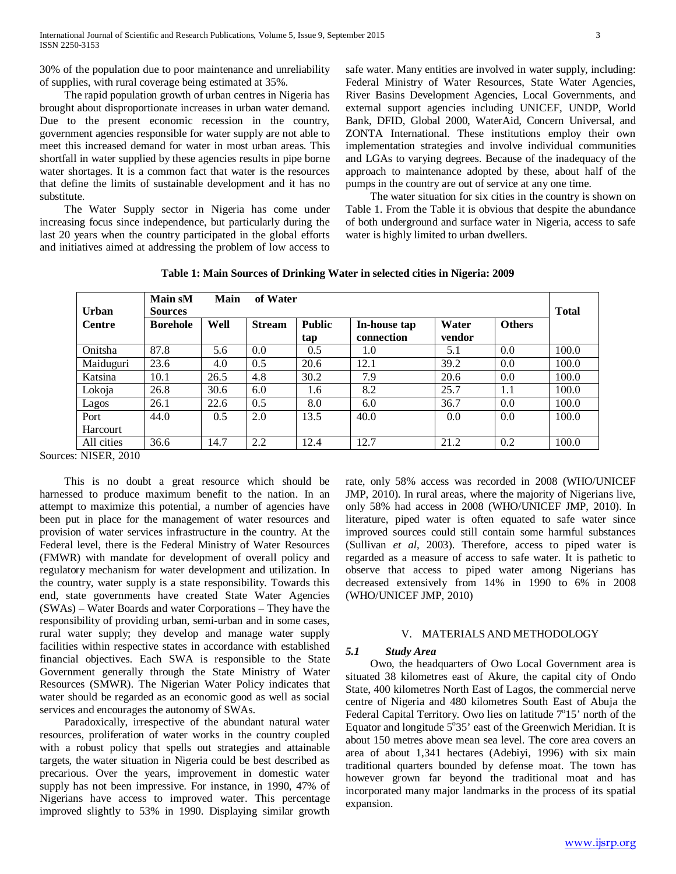30% of the population due to poor maintenance and unreliability of supplies, with rural coverage being estimated at 35%.

 The rapid population growth of urban centres in Nigeria has brought about disproportionate increases in urban water demand. Due to the present economic recession in the country, government agencies responsible for water supply are not able to meet this increased demand for water in most urban areas. This shortfall in water supplied by these agencies results in pipe borne water shortages. It is a common fact that water is the resources that define the limits of sustainable development and it has no substitute.

 The Water Supply sector in Nigeria has come under increasing focus since independence, but particularly during the last 20 years when the country participated in the global efforts and initiatives aimed at addressing the problem of low access to

safe water. Many entities are involved in water supply, including: Federal Ministry of Water Resources, State Water Agencies, River Basins Development Agencies, Local Governments, and external support agencies including UNICEF, UNDP, World Bank, DFID, Global 2000, WaterAid, Concern Universal, and ZONTA International. These institutions employ their own implementation strategies and involve individual communities and LGAs to varying degrees. Because of the inadequacy of the approach to maintenance adopted by these, about half of the pumps in the country are out of service at any one time.

 The water situation for six cities in the country is shown on Table 1. From the Table it is obvious that despite the abundance of both underground and surface water in Nigeria, access to safe water is highly limited to urban dwellers.

| Table 1: Main Sources of Drinking Water in selected cities in Nigeria: 2009 |  |
|-----------------------------------------------------------------------------|--|
|                                                                             |  |

| <b>Urban</b>  | Main sM<br>Main<br>of Water<br><b>Sources</b> |      |               |                      |                            |                 | <b>Total</b>  |       |
|---------------|-----------------------------------------------|------|---------------|----------------------|----------------------------|-----------------|---------------|-------|
| <b>Centre</b> | <b>Borehole</b>                               | Well | <b>Stream</b> | <b>Public</b><br>tap | In-house tap<br>connection | Water<br>vendor | <b>Others</b> |       |
| Onitsha       | 87.8                                          | 5.6  | 0.0           | 0.5                  | 1.0                        | 5.1             | 0.0           | 100.0 |
| Maiduguri     | 23.6                                          | 4.0  | 0.5           | 20.6                 | 12.1                       | 39.2            | 0.0           | 100.0 |
| Katsina       | 10.1                                          | 26.5 | 4.8           | 30.2                 | 7.9                        | 20.6            | 0.0           | 100.0 |
| Lokoja        | 26.8                                          | 30.6 | 6.0           | 1.6                  | 8.2                        | 25.7            | 1.1           | 100.0 |
| Lagos         | 26.1                                          | 22.6 | 0.5           | 8.0                  | 6.0                        | 36.7            | 0.0           | 100.0 |
| Port          | 44.0                                          | 0.5  | 2.0           | 13.5                 | 40.0                       | 0.0             | 0.0           | 100.0 |
| Harcourt      |                                               |      |               |                      |                            |                 |               |       |
| All cities    | 36.6                                          | 14.7 | 2.2           | 12.4                 | 12.7                       | 21.2            | 0.2           | 100.0 |

Sources: NISER, 2010

 This is no doubt a great resource which should be harnessed to produce maximum benefit to the nation. In an attempt to maximize this potential, a number of agencies have been put in place for the management of water resources and provision of water services infrastructure in the country. At the Federal level, there is the Federal Ministry of Water Resources (FMWR) with mandate for development of overall policy and regulatory mechanism for water development and utilization. In the country, water supply is a state responsibility. Towards this end, state governments have created State Water Agencies (SWAs) – Water Boards and water Corporations – They have the responsibility of providing urban, semi-urban and in some cases, rural water supply; they develop and manage water supply facilities within respective states in accordance with established financial objectives. Each SWA is responsible to the State Government generally through the State Ministry of Water Resources (SMWR). The Nigerian Water Policy indicates that water should be regarded as an economic good as well as social services and encourages the autonomy of SWAs.

 Paradoxically, irrespective of the abundant natural water resources, proliferation of water works in the country coupled with a robust policy that spells out strategies and attainable targets, the water situation in Nigeria could be best described as precarious. Over the years, improvement in domestic water supply has not been impressive. For instance, in 1990, 47% of Nigerians have access to improved water. This percentage improved slightly to 53% in 1990. Displaying similar growth

rate, only 58% access was recorded in 2008 (WHO/UNICEF JMP, 2010). In rural areas, where the majority of Nigerians live, only 58% had access in 2008 (WHO/UNICEF JMP, 2010). In literature, piped water is often equated to safe water since improved sources could still contain some harmful substances (Sullivan *et al*, 2003). Therefore, access to piped water is regarded as a measure of access to safe water. It is pathetic to observe that access to piped water among Nigerians has decreased extensively from 14% in 1990 to 6% in 2008 (WHO/UNICEF JMP, 2010)

# V. MATERIALS AND METHODOLOGY

# *5.1 Study Area*

 Owo, the headquarters of Owo Local Government area is situated 38 kilometres east of Akure, the capital city of Ondo State, 400 kilometres North East of Lagos, the commercial nerve centre of Nigeria and 480 kilometres South East of Abuja the Federal Capital Territory. Owo lies on latitude  $7^{\circ}15'$  north of the Equator and longitude  $5^{\circ}35'$  east of the Greenwich Meridian. It is about 150 metres above mean sea level. The core area covers an area of about 1,341 hectares (Adebiyi, 1996) with six main traditional quarters bounded by defense moat. The town has however grown far beyond the traditional moat and has incorporated many major landmarks in the process of its spatial expansion.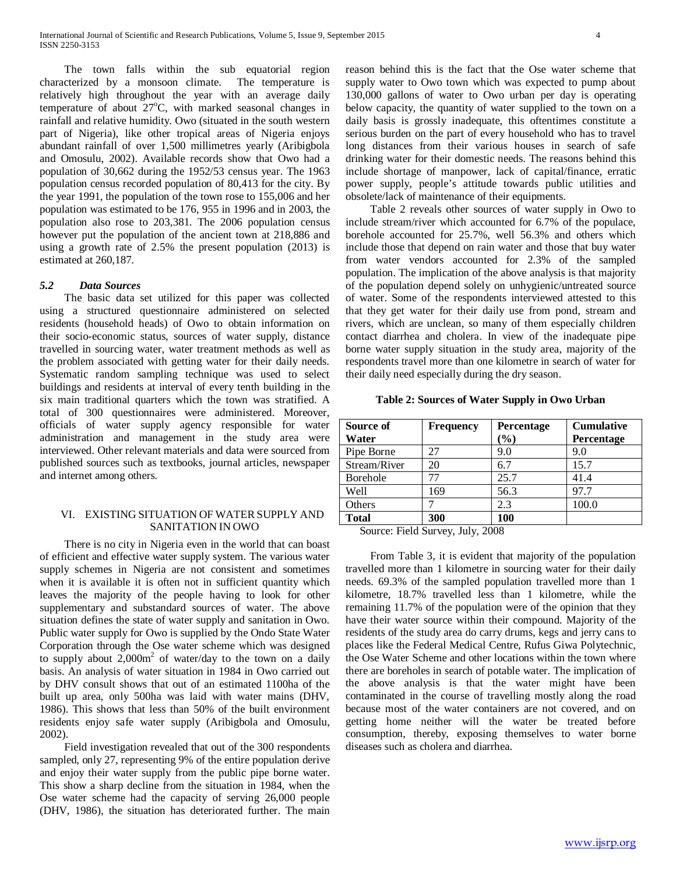The town falls within the sub equatorial region cterized by a monsoon climate. The temperature is characterized by a monsoon climate. relatively high throughout the year with an average daily temperature of about  $27^{\circ}$ C, with marked seasonal changes in rainfall and relative humidity. Owo (situated in the south western part of Nigeria), like other tropical areas of Nigeria enjoys abundant rainfall of over 1,500 millimetres yearly (Aribigbola and Omosulu, 2002). Available records show that Owo had a population of 30,662 during the 1952/53 census year. The 1963 population census recorded population of 80,413 for the city. By the year 1991, the population of the town rose to 155,006 and her population was estimated to be 176, 955 in 1996 and in 2003, the population also rose to 203,381. The 2006 population census however put the population of the ancient town at 218,886 and using a growth rate of 2.5% the present population (2013) is estimated at 260,187.

# *5.2 Data Sources*

 The basic data set utilized for this paper was collected using a structured questionnaire administered on selected residents (household heads) of Owo to obtain information on their socio-economic status, sources of water supply, distance travelled in sourcing water, water treatment methods as well as the problem associated with getting water for their daily needs. Systematic random sampling technique was used to select buildings and residents at interval of every tenth building in the six main traditional quarters which the town was stratified. A total of 300 questionnaires were administered. Moreover, officials of water supply agency responsible for water administration and management in the study area were interviewed. Other relevant materials and data were sourced from published sources such as textbooks, journal articles, newspaper and internet among others.

# VI. EXISTING SITUATION OF WATER SUPPLY AND SANITATION IN OWO

 There is no city in Nigeria even in the world that can boast of efficient and effective water supply system. The various water supply schemes in Nigeria are not consistent and sometimes when it is available it is often not in sufficient quantity which leaves the majority of the people having to look for other supplementary and substandard sources of water. The above situation defines the state of water supply and sanitation in Owo. Public water supply for Owo is supplied by the Ondo State Water Corporation through the Ose water scheme which was designed to supply about  $2,000m^2$  of water/day to the town on a daily basis. An analysis of water situation in 1984 in Owo carried out by DHV consult shows that out of an estimated 1100ha of the built up area, only 500ha was laid with water mains (DHV, 1986). This shows that less than 50% of the built environment residents enjoy safe water supply (Aribigbola and Omosulu, 2002).

 Field investigation revealed that out of the 300 respondents sampled, only 27, representing 9% of the entire population derive and enjoy their water supply from the public pipe borne water. This show a sharp decline from the situation in 1984, when the Ose water scheme had the capacity of serving 26,000 people (DHV, 1986), the situation has deteriorated further. The main reason behind this is the fact that the Ose water scheme that supply water to Owo town which was expected to pump about 130,000 gallons of water to Owo urban per day is operating below capacity, the quantity of water supplied to the town on a daily basis is grossly inadequate, this oftentimes constitute a serious burden on the part of every household who has to travel long distances from their various houses in search of safe drinking water for their domestic needs. The reasons behind this include shortage of manpower, lack of capital/finance, erratic power supply, people's attitude towards public utilities and obsolete/lack of maintenance of their equipments.

 Table 2 reveals other sources of water supply in Owo to include stream/river which accounted for 6.7% of the populace, borehole accounted for 25.7%, well 56.3% and others which include those that depend on rain water and those that buy water from water vendors accounted for 2.3% of the sampled population. The implication of the above analysis is that majority of the population depend solely on unhygienic/untreated source of water. Some of the respondents interviewed attested to this that they get water for their daily use from pond, stream and rivers, which are unclean, so many of them especially children contact diarrhea and cholera. In view of the inadequate pipe borne water supply situation in the study area, majority of the respondents travel more than one kilometre in search of water for their daily need especially during the dry season.

# **Table 2: Sources of Water Supply in Owo Urban**

| Source of<br>Water             | <b>Frequency</b> | <b>Percentage</b><br>$\mathcal{O}_0$ | <b>Cumulative</b><br>Percentage |
|--------------------------------|------------------|--------------------------------------|---------------------------------|
| Pipe Borne                     | 27               | 9.0                                  | 9.0                             |
| Stream/River                   | 20               | 6.7                                  | 15.7                            |
| <b>Borehole</b>                | 77               | 25.7                                 | 41.4                            |
| Well                           | 169              | 56.3                                 | 97.7                            |
| Others                         |                  | 2.3                                  | 100.0                           |
| <b>Total</b><br>$\sim$<br>---- | 300<br>- -       | 100<br>$\sim$ $\sim$ $\sim$          |                                 |

Source: Field Survey, July, 2008

 From Table 3, it is evident that majority of the population travelled more than 1 kilometre in sourcing water for their daily needs. 69.3% of the sampled population travelled more than 1 kilometre, 18.7% travelled less than 1 kilometre, while the remaining 11.7% of the population were of the opinion that they have their water source within their compound. Majority of the residents of the study area do carry drums, kegs and jerry cans to places like the Federal Medical Centre, Rufus Giwa Polytechnic, the Ose Water Scheme and other locations within the town where there are boreholes in search of potable water. The implication of the above analysis is that the water might have been contaminated in the course of travelling mostly along the road because most of the water containers are not covered, and on getting home neither will the water be treated before consumption, thereby, exposing themselves to water borne diseases such as cholera and diarrhea.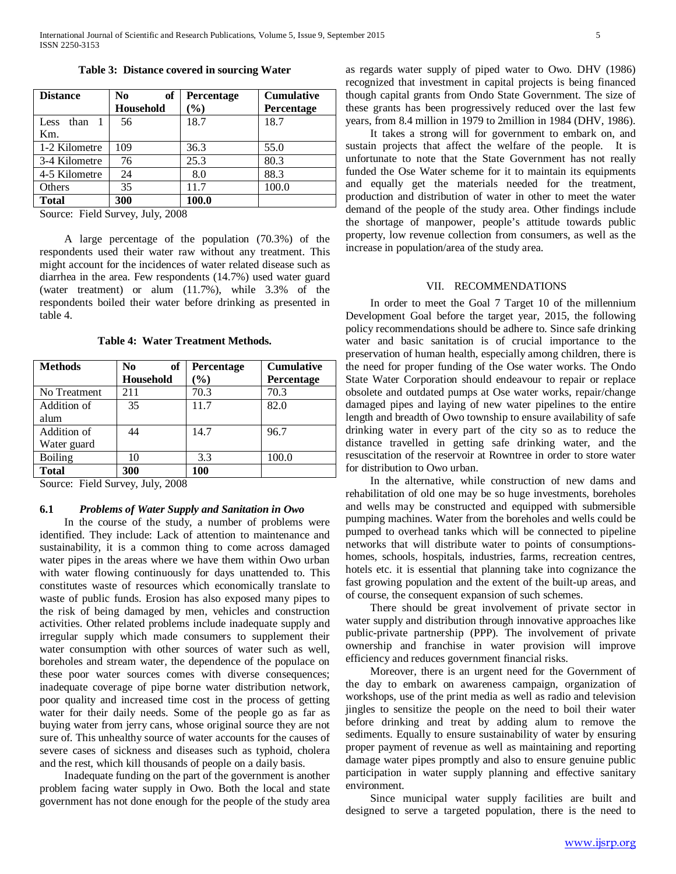| <b>Distance</b> | of<br>N <sub>0</sub><br><b>Household</b> | <b>Percentage</b><br>$\mathcal{O}_0$ | <b>Cumulative</b><br>Percentage |
|-----------------|------------------------------------------|--------------------------------------|---------------------------------|
| than<br>Less    | 56                                       | 18.7                                 | 18.7                            |
| Km.             |                                          |                                      |                                 |
| 1-2 Kilometre   | 109                                      | 36.3                                 | 55.0                            |
| 3-4 Kilometre   | 76                                       | 25.3                                 | 80.3                            |
| 4-5 Kilometre   | 24                                       | 8.0                                  | 88.3                            |
| Others          | 35                                       | 11.7                                 | 100.0                           |
| <b>Total</b>    | 300                                      | 100.0                                |                                 |

**Table 3: Distance covered in sourcing Water**

Source: Field Survey, July, 2008

 A large percentage of the population (70.3%) of the respondents used their water raw without any treatment. This might account for the incidences of water related disease such as diarrhea in the area. Few respondents (14.7%) used water guard (water treatment) or alum (11.7%), while 3.3% of the respondents boiled their water before drinking as presented in table 4.

**Table 4: Water Treatment Methods.**

| <b>Methods</b> | of<br>N <sub>0</sub> | Percentage | <b>Cumulative</b> |
|----------------|----------------------|------------|-------------------|
|                | <b>Household</b>     | $\%$       | Percentage        |
| No Treatment   | 211                  | 70.3       | 70.3              |
| Addition of    | 35                   | 11.7       | 82.0              |
| alum           |                      |            |                   |
| Addition of    | 44                   | 14.7       | 96.7              |
| Water guard    |                      |            |                   |
| <b>Boiling</b> | 10                   | 3.3        | 100.0             |
| <b>Total</b>   | 300                  | 100        |                   |

Source: Field Survey, July, 2008

# **6.1** *Problems of Water Supply and Sanitation in Owo*

 In the course of the study, a number of problems were identified. They include: Lack of attention to maintenance and sustainability, it is a common thing to come across damaged water pipes in the areas where we have them within Owo urban with water flowing continuously for days unattended to. This constitutes waste of resources which economically translate to waste of public funds. Erosion has also exposed many pipes to the risk of being damaged by men, vehicles and construction activities. Other related problems include inadequate supply and irregular supply which made consumers to supplement their water consumption with other sources of water such as well, boreholes and stream water, the dependence of the populace on these poor water sources comes with diverse consequences; inadequate coverage of pipe borne water distribution network, poor quality and increased time cost in the process of getting water for their daily needs. Some of the people go as far as buying water from jerry cans, whose original source they are not sure of. This unhealthy source of water accounts for the causes of severe cases of sickness and diseases such as typhoid, cholera and the rest, which kill thousands of people on a daily basis.

 Inadequate funding on the part of the government is another problem facing water supply in Owo. Both the local and state government has not done enough for the people of the study area as regards water supply of piped water to Owo. DHV (1986) recognized that investment in capital projects is being financed though capital grants from Ondo State Government. The size of these grants has been progressively reduced over the last few years, from 8.4 million in 1979 to 2million in 1984 (DHV, 1986).

 It takes a strong will for government to embark on, and sustain projects that affect the welfare of the people. It is unfortunate to note that the State Government has not really funded the Ose Water scheme for it to maintain its equipments and equally get the materials needed for the treatment, production and distribution of water in other to meet the water demand of the people of the study area. Other findings include the shortage of manpower, people's attitude towards public property, low revenue collection from consumers, as well as the increase in population/area of the study area.

# VII. RECOMMENDATIONS

 In order to meet the Goal 7 Target 10 of the millennium Development Goal before the target year, 2015, the following policy recommendations should be adhere to. Since safe drinking water and basic sanitation is of crucial importance to the preservation of human health, especially among children, there is the need for proper funding of the Ose water works. The Ondo State Water Corporation should endeavour to repair or replace obsolete and outdated pumps at Ose water works, repair/change damaged pipes and laying of new water pipelines to the entire length and breadth of Owo township to ensure availability of safe drinking water in every part of the city so as to reduce the distance travelled in getting safe drinking water, and the resuscitation of the reservoir at Rowntree in order to store water for distribution to Owo urban.

 In the alternative, while construction of new dams and rehabilitation of old one may be so huge investments, boreholes and wells may be constructed and equipped with submersible pumping machines. Water from the boreholes and wells could be pumped to overhead tanks which will be connected to pipeline networks that will distribute water to points of consumptionshomes, schools, hospitals, industries, farms, recreation centres, hotels etc. it is essential that planning take into cognizance the fast growing population and the extent of the built-up areas, and of course, the consequent expansion of such schemes.

 There should be great involvement of private sector in water supply and distribution through innovative approaches like public-private partnership (PPP). The involvement of private ownership and franchise in water provision will improve efficiency and reduces government financial risks.

 Moreover, there is an urgent need for the Government of the day to embark on awareness campaign, organization of workshops, use of the print media as well as radio and television jingles to sensitize the people on the need to boil their water before drinking and treat by adding alum to remove the sediments. Equally to ensure sustainability of water by ensuring proper payment of revenue as well as maintaining and reporting damage water pipes promptly and also to ensure genuine public participation in water supply planning and effective sanitary environment.

 Since municipal water supply facilities are built and designed to serve a targeted population, there is the need to